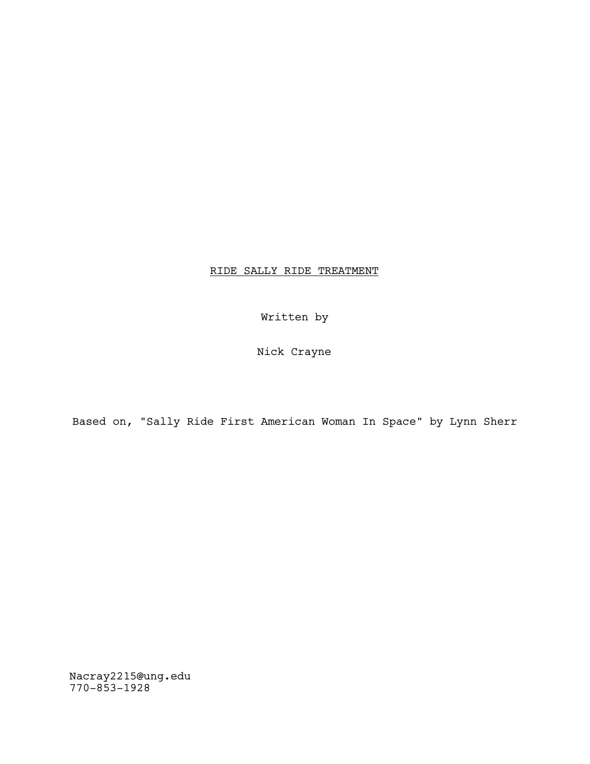## RIDE SALLY RIDE TREATMENT

Written by

Nick Crayne

Based on, "Sally Ride First American Woman In Space" by Lynn Sherr

Nacray2215@ung.edu 770-853-1928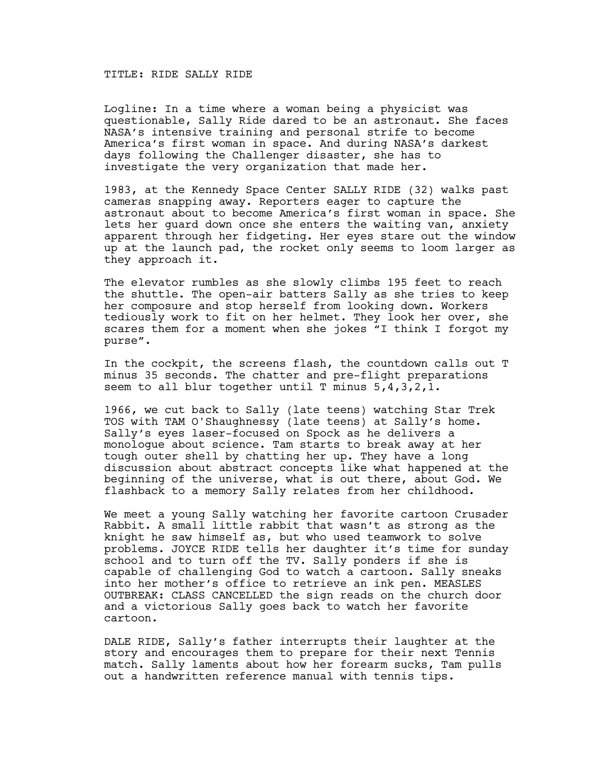## TITLE: RIDE SALLY RIDE

Logline: In a time where a woman being a physicist was questionable, Sally Ride dared to be an astronaut. She faces NASA's intensive training and personal strife to become America's first woman in space. And during NASA's darkest days following the Challenger disaster, she has to investigate the very organization that made her.

1983, at the Kennedy Space Center SALLY RIDE (32) walks past cameras snapping away. Reporters eager to capture the astronaut about to become America's first woman in space. She lets her guard down once she enters the waiting van, anxiety apparent through her fidgeting. Her eyes stare out the window up at the launch pad, the rocket only seems to loom larger as they approach it.

The elevator rumbles as she slowly climbs 195 feet to reach the shuttle. The open-air batters Sally as she tries to keep her composure and stop herself from looking down. Workers tediously work to fit on her helmet. They look her over, she scares them for a moment when she jokes "I think I forgot my purse".

In the cockpit, the screens flash, the countdown calls out T minus 35 seconds. The chatter and pre-flight preparations seem to all blur together until  $T$  minus  $5,4,3,2,1$ .

1966, we cut back to Sally (late teens) watching Star Trek TOS with TAM O'Shaughnessy (late teens) at Sally's home. Sally's eyes laser-focused on Spock as he delivers a monologue about science. Tam starts to break away at her tough outer shell by chatting her up. They have a long discussion about abstract concepts like what happened at the beginning of the universe, what is out there, about God. We flashback to a memory Sally relates from her childhood.

We meet a young Sally watching her favorite cartoon Crusader Rabbit. A small little rabbit that wasn't as strong as the knight he saw himself as, but who used teamwork to solve problems. JOYCE RIDE tells her daughter it's time for sunday school and to turn off the TV. Sally ponders if she is capable of challenging God to watch a cartoon. Sally sneaks into her mother's office to retrieve an ink pen. MEASLES OUTBREAK: CLASS CANCELLED the sign reads on the church door and a victorious Sally goes back to watch her favorite cartoon.

DALE RIDE, Sally's father interrupts their laughter at the story and encourages them to prepare for their next Tennis match. Sally laments about how her forearm sucks, Tam pulls out a handwritten reference manual with tennis tips.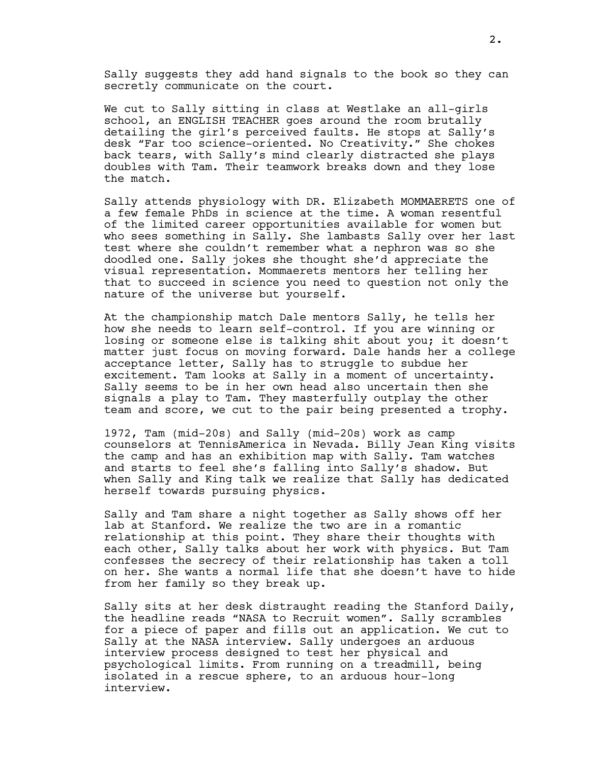Sally suggests they add hand signals to the book so they can secretly communicate on the court.

We cut to Sally sitting in class at Westlake an all-girls school, an ENGLISH TEACHER goes around the room brutally detailing the girl's perceived faults. He stops at Sally's desk "Far too science-oriented. No Creativity." She chokes back tears, with Sally's mind clearly distracted she plays doubles with Tam. Their teamwork breaks down and they lose the match.

Sally attends physiology with DR. Elizabeth MOMMAERETS one of a few female PhDs in science at the time. A woman resentful of the limited career opportunities available for women but who sees something in Sally. She lambasts Sally over her last test where she couldn't remember what a nephron was so she doodled one. Sally jokes she thought she'd appreciate the visual representation. Mommaerets mentors her telling her that to succeed in science you need to question not only the nature of the universe but yourself.

At the championship match Dale mentors Sally, he tells her how she needs to learn self-control. If you are winning or losing or someone else is talking shit about you; it doesn't matter just focus on moving forward. Dale hands her a college acceptance letter, Sally has to struggle to subdue her excitement. Tam looks at Sally in a moment of uncertainty. Sally seems to be in her own head also uncertain then she signals a play to Tam. They masterfully outplay the other team and score, we cut to the pair being presented a trophy.

1972, Tam (mid-20s) and Sally (mid-20s) work as camp counselors at TennisAmerica in Nevada. Billy Jean King visits the camp and has an exhibition map with Sally. Tam watches and starts to feel she's falling into Sally's shadow. But when Sally and King talk we realize that Sally has dedicated herself towards pursuing physics.

Sally and Tam share a night together as Sally shows off her lab at Stanford. We realize the two are in a romantic relationship at this point. They share their thoughts with each other, Sally talks about her work with physics. But Tam confesses the secrecy of their relationship has taken a toll on her. She wants a normal life that she doesn't have to hide from her family so they break up.

Sally sits at her desk distraught reading the Stanford Daily, the headline reads "NASA to Recruit women". Sally scrambles for a piece of paper and fills out an application. We cut to Sally at the NASA interview. Sally undergoes an arduous interview process designed to test her physical and psychological limits. From running on a treadmill, being isolated in a rescue sphere, to an arduous hour-long interview.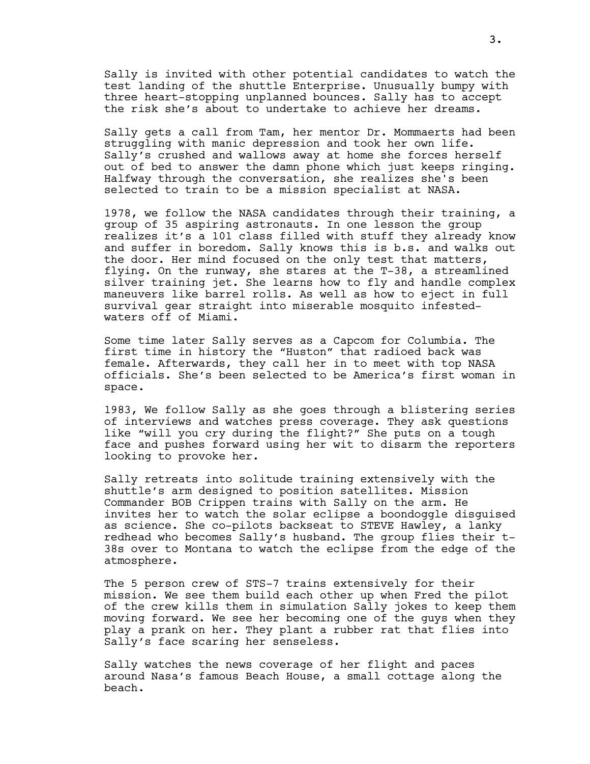Sally is invited with other potential candidates to watch the test landing of the shuttle Enterprise. Unusually bumpy with three heart-stopping unplanned bounces. Sally has to accept the risk she's about to undertake to achieve her dreams.

Sally gets a call from Tam, her mentor Dr. Mommaerts had been struggling with manic depression and took her own life. Sally's crushed and wallows away at home she forces herself out of bed to answer the damn phone which just keeps ringing. Halfway through the conversation, she realizes she's been selected to train to be a mission specialist at NASA.

1978, we follow the NASA candidates through their training, a group of 35 aspiring astronauts. In one lesson the group realizes it's a 101 class filled with stuff they already know and suffer in boredom. Sally knows this is b.s. and walks out the door. Her mind focused on the only test that matters, flying. On the runway, she stares at the T-38, a streamlined silver training jet. She learns how to fly and handle complex maneuvers like barrel rolls. As well as how to eject in full survival gear straight into miserable mosquito infestedwaters off of Miami.

Some time later Sally serves as a Capcom for Columbia. The first time in history the "Huston" that radioed back was female. Afterwards, they call her in to meet with top NASA officials. She's been selected to be America's first woman in space.

1983, We follow Sally as she goes through a blistering series of interviews and watches press coverage. They ask questions like "will you cry during the flight?" She puts on a tough face and pushes forward using her wit to disarm the reporters looking to provoke her.

Sally retreats into solitude training extensively with the shuttle's arm designed to position satellites. Mission Commander BOB Crippen trains with Sally on the arm. He invites her to watch the solar eclipse a boondoggle disguised as science. She co-pilots backseat to STEVE Hawley, a lanky redhead who becomes Sally's husband. The group flies their t-38s over to Montana to watch the eclipse from the edge of the atmosphere.

The 5 person crew of STS-7 trains extensively for their mission. We see them build each other up when Fred the pilot of the crew kills them in simulation Sally jokes to keep them moving forward. We see her becoming one of the guys when they play a prank on her. They plant a rubber rat that flies into Sally's face scaring her senseless.

Sally watches the news coverage of her flight and paces around Nasa's famous Beach House, a small cottage along the beach.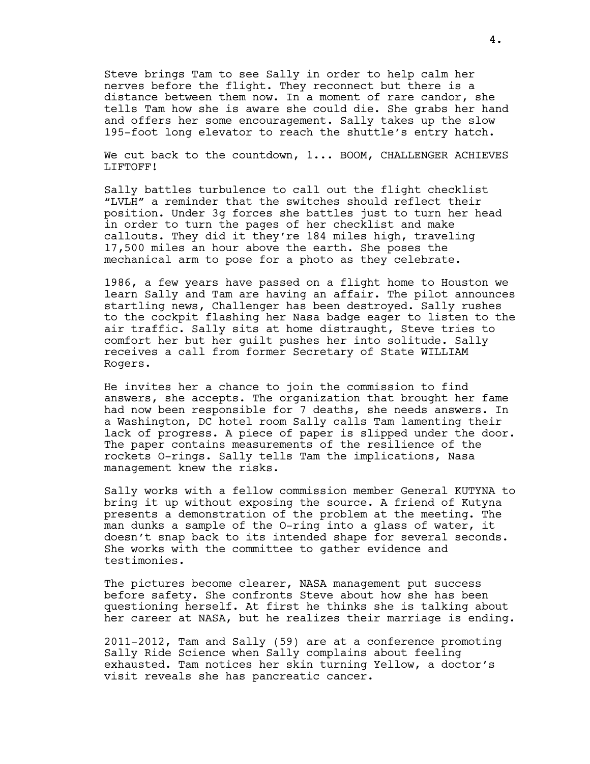Steve brings Tam to see Sally in order to help calm her nerves before the flight. They reconnect but there is a distance between them now. In a moment of rare candor, she tells Tam how she is aware she could die. She grabs her hand and offers her some encouragement. Sally takes up the slow 195-foot long elevator to reach the shuttle's entry hatch.

We cut back to the countdown, 1... BOOM, CHALLENGER ACHIEVES LIFTOFF!

Sally battles turbulence to call out the flight checklist "LVLH" a reminder that the switches should reflect their position. Under 3g forces she battles just to turn her head in order to turn the pages of her checklist and make callouts. They did it they're 184 miles high, traveling 17,500 miles an hour above the earth. She poses the mechanical arm to pose for a photo as they celebrate.

1986, a few years have passed on a flight home to Houston we learn Sally and Tam are having an affair. The pilot announces startling news, Challenger has been destroyed. Sally rushes to the cockpit flashing her Nasa badge eager to listen to the air traffic. Sally sits at home distraught, Steve tries to comfort her but her guilt pushes her into solitude. Sally receives a call from former Secretary of State WILLIAM Rogers.

He invites her a chance to join the commission to find answers, she accepts. The organization that brought her fame had now been responsible for 7 deaths, she needs answers. In a Washington, DC hotel room Sally calls Tam lamenting their lack of progress. A piece of paper is slipped under the door. The paper contains measurements of the resilience of the rockets O-rings. Sally tells Tam the implications, Nasa management knew the risks.

Sally works with a fellow commission member General KUTYNA to bring it up without exposing the source. A friend of Kutyna presents a demonstration of the problem at the meeting. The man dunks a sample of the O-ring into a glass of water, it doesn't snap back to its intended shape for several seconds. She works with the committee to gather evidence and testimonies.

The pictures become clearer, NASA management put success before safety. She confronts Steve about how she has been questioning herself. At first he thinks she is talking about her career at NASA, but he realizes their marriage is ending.

2011-2012, Tam and Sally (59) are at a conference promoting Sally Ride Science when Sally complains about feeling exhausted. Tam notices her skin turning Yellow, a doctor's visit reveals she has pancreatic cancer.